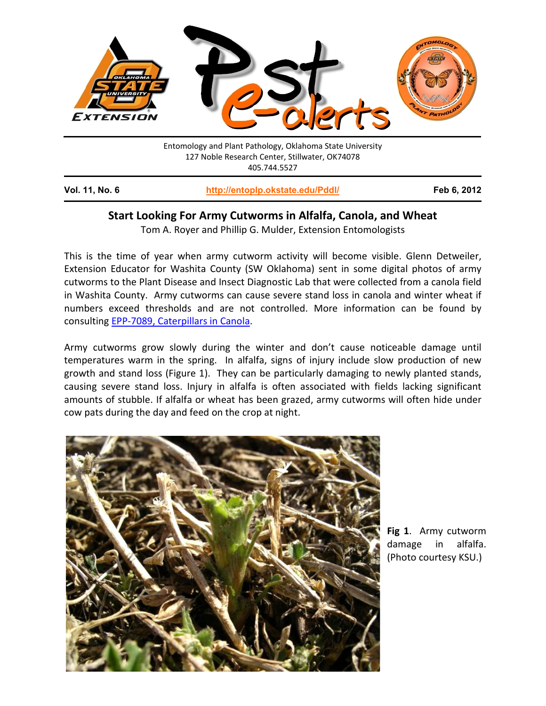

## **Start Looking For Army Cutworms in Alfalfa, Canola, and Wheat**

Tom A. Royer and Phillip G. Mulder, Extension Entomologists

This is the time of year when army cutworm activity will become visible. Glenn Detweiler, Extension Educator for Washita County (SW Oklahoma) sent in some digital photos of army cutworms to the Plant Disease and Insect Diagnostic Lab that were collected from a canola field in Washita County. Army cutworms can cause severe stand loss in canola and winter wheat if numbers exceed thresholds and are not controlled. More information can be found by consulting [EPP-7089, Caterpillars in Canola.](http://pods.dasnr.okstate.edu/docushare/dsweb/Get/Document-7837/EPP-7089.pdf)

Army cutworms grow slowly during the winter and don't cause noticeable damage until temperatures warm in the spring. In alfalfa, signs of injury include slow production of new growth and stand loss (Figure 1). They can be particularly damaging to newly planted stands, causing severe stand loss. Injury in alfalfa is often associated with fields lacking significant amounts of stubble. If alfalfa or wheat has been grazed, army cutworms will often hide under cow pats during the day and feed on the crop at night.



**Fig 1**. Army cutworm damage in alfalfa. (Photo courtesy KSU.)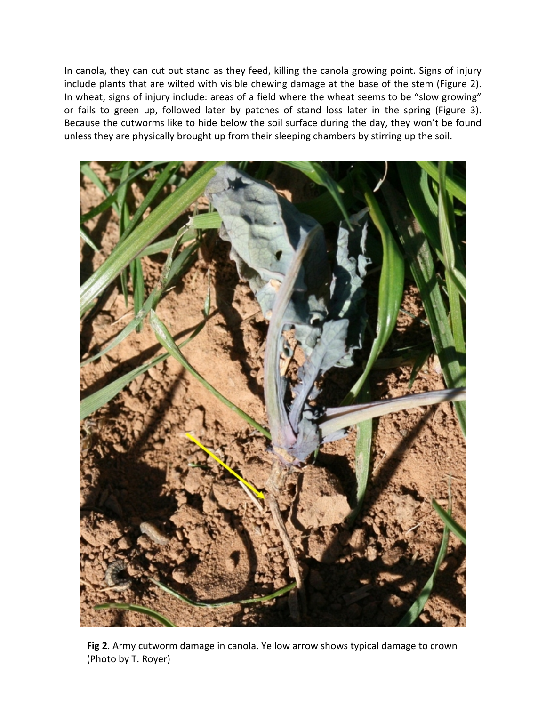In canola, they can cut out stand as they feed, killing the canola growing point. Signs of injury include plants that are wilted with visible chewing damage at the base of the stem (Figure 2). In wheat, signs of injury include: areas of a field where the wheat seems to be "slow growing" or fails to green up, followed later by patches of stand loss later in the spring (Figure 3). Because the cutworms like to hide below the soil surface during the day, they won't be found unless they are physically brought up from their sleeping chambers by stirring up the soil.



**Fig 2**. Army cutworm damage in canola. Yellow arrow shows typical damage to crown (Photo by T. Royer)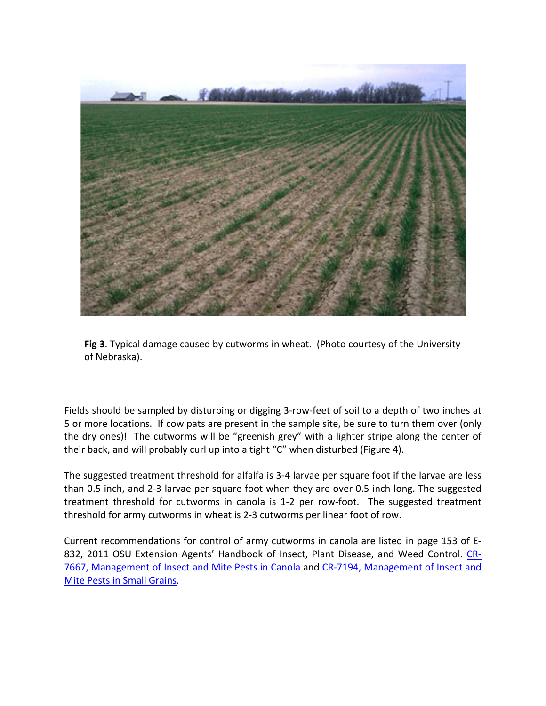

**Fig 3**. Typical damage caused by cutworms in wheat. (Photo courtesy of the University of Nebraska).

Fields should be sampled by disturbing or digging 3-row-feet of soil to a depth of two inches at 5 or more locations. If cow pats are present in the sample site, be sure to turn them over (only the dry ones)! The cutworms will be "greenish grey" with a lighter stripe along the center of their back, and will probably curl up into a tight "C" when disturbed (Figure 4).

The suggested treatment threshold for alfalfa is 3-4 larvae per square foot if the larvae are less than 0.5 inch, and 2-3 larvae per square foot when they are over 0.5 inch long. The suggested treatment threshold for cutworms in canola is 1-2 per row-foot. The suggested treatment threshold for army cutworms in wheat is 2-3 cutworms per linear foot of row.

Current recommendations for control of army cutworms in canola are listed in page 153 of E-832, 2011 OSU Extension Agents' Handbook of Insect, Plant Disease, and Weed Control. [CR-](http://pods.dasnr.okstate.edu/docushare/dsweb/Get/Document-3045/CR-7667web2011.pdf)[7667, Management of Insect and Mite Pests in Canola](http://pods.dasnr.okstate.edu/docushare/dsweb/Get/Document-3045/CR-7667web2011.pdf) and [CR-7194, Management of Insect and](http://pods.dasnr.okstate.edu/docushare/dsweb/Get/Document-2601/CR-7194web2008.pdf)  [Mite Pests in Small Grains.](http://pods.dasnr.okstate.edu/docushare/dsweb/Get/Document-2601/CR-7194web2008.pdf)